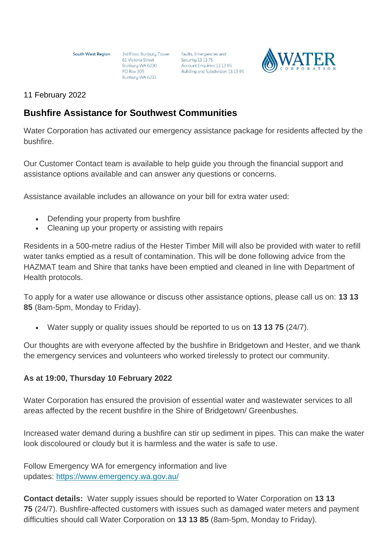**South West Region** 

61 Victoria Street Bunbury WA 6230 **PO Box 305** Bunbury WA 6231

3rd Floor, Bunbury Tower Faults, Emergencies and Security 13 13 75<br>Account Enquiries 13 13 85 Building and Subdivision 13 13 95



### 11 February 2022

# **Bushfire Assistance for Southwest Communities**

Water Corporation has activated our emergency assistance package for residents affected by the bushfire.

Our Customer Contact team is available to help guide you through the financial support and assistance options available and can answer any questions or concerns.

Assistance available includes an allowance on your bill for extra water used:

- Defending your property from bushfire
- Cleaning up your property or assisting with repairs

Residents in a 500-metre radius of the Hester Timber Mill will also be provided with water to refill water tanks emptied as a result of contamination. This will be done following advice from the HAZMAT team and Shire that tanks have been emptied and cleaned in line with Department of Health protocols.

To apply for a water use allowance or discuss other assistance options, please call us on: **13 13 85** (8am-5pm, Monday to Friday).

• Water supply or quality issues should be reported to us on **13 13 75** (24/7).

Our thoughts are with everyone affected by the bushfire in Bridgetown and Hester, and we thank the emergency services and volunteers who worked tirelessly to protect our community.

## **As at 19:00, Thursday 10 February 2022**

Water Corporation has ensured the provision of essential water and wastewater services to all areas affected by the recent bushfire in the Shire of Bridgetown/ Greenbushes.

Increased water demand during a bushfire can stir up sediment in pipes. This can make the water look discoloured or cloudy but it is harmless and the water is safe to use.

Follow Emergency WA for emergency information and live updates: <https://www.emergency.wa.gov.au/>

**Contact details:** Water supply issues should be reported to Water Corporation on **13 13 75** (24/7). Bushfire-affected customers with issues such as damaged water meters and payment difficulties should call Water Corporation on **13 13 85** (8am-5pm, Monday to Friday).